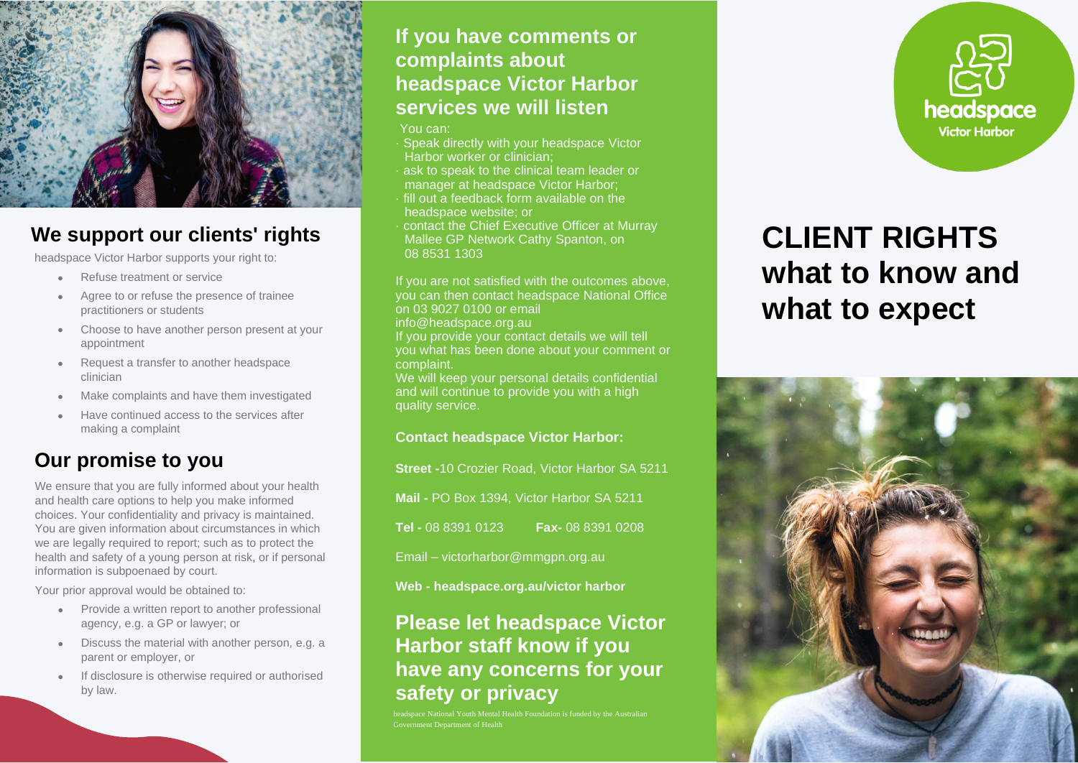

## **We support our clients' rights**

headspace Victor Harbor supports your right to:

- Refuse treatment or service
- Agree to or refuse the presence of trainee practitioners or students
- Choose to have another person present at your appointment
- Request a transfer to another headspace clinician
- Make complaints and have them investigated
- Have continued access to the services after making a complaint

## **Our promise to you**

We ensure that you are fully informed about your health and health care options to help you make informed choices. Your confidentiality and privacy is maintained. You are given information about circumstances in which we are legally required to report; such as to protect the health and safety of a young person at risk, or if personal information is subpoenaed by court.

Your prior approval would be obtained to:

- Provide a written report to another professional agency, e.g. a GP or lawyer; or
- Discuss the material with another person, e.g. a parent or employer, or
- If disclosure is otherwise required or authorised by law.

### **If you have comments or complaints about headspace Victor Harbor services we will listen**

- You can:
- · Speak directly with your headspace Victor Harbor worker or clinician;
- ask to speak to the clinical team leader or manager at headspace Victor Harbor;
- · fill out a feedback form available on the headspace website; or
- · contact the Chief Executive Officer at Murray Mallee GP Network Cathy Spanton, on 08 8531 1303

If you are not satisfied with the outcomes above, you can then contact headspace National Office on 03 9027 0100 or email

info@headspace.org.au

If you provide your contact details we will tell you what has been done about your comment or complaint.

We will keep your personal details confidential and will continue to provide you with a high quality service.

#### **Contact headspace Victor Harbor:**

**Street -**10 Crozier Road, Victor Harbor SA 5211

**Mail -** PO Box 1394, Victor Harbor SA 5211

**Tel -** 08 8391 0123 **Fax-** 08 8391 0208

Email – victorharbor@mmgpn.org.au

**Web - headspace.org.au/victor harbor**

## **Please let headspace Victor Harbor staff know if you have any concerns for your safety or privacy**

**heads** National Youth Mental Health Foundation is funded by the Australian Government Department of Health



# **CLIENT RIGHTS what to know and what to expect**